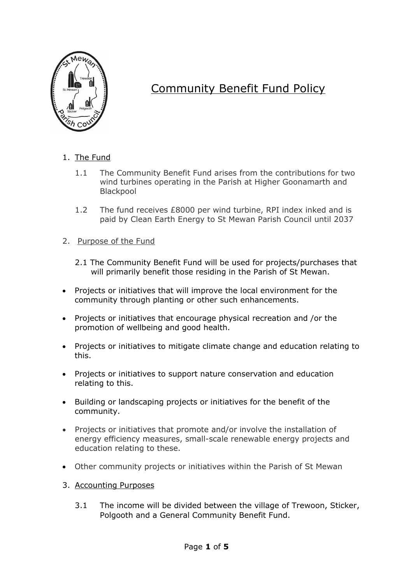

## Community Benefit Fund Policy

- 1. The Fund
	- 1.1 The Community Benefit Fund arises from the contributions for two wind turbines operating in the Parish at Higher Goonamarth and **Blackpool**
	- 1.2 The fund receives £8000 per wind turbine, RPI index inked and is paid by Clean Earth Energy to St Mewan Parish Council until 2037
- 2. Purpose of the Fund
	- 2.1 The Community Benefit Fund will be used for projects/purchases that will primarily benefit those residing in the Parish of St Mewan.
- Projects or initiatives that will improve the local environment for the community through planting or other such enhancements.
- Projects or initiatives that encourage physical recreation and /or the promotion of wellbeing and good health.
- Projects or initiatives to mitigate climate change and education relating to this.
- Projects or initiatives to support nature conservation and education relating to this.
- Building or landscaping projects or initiatives for the benefit of the community.
- Projects or initiatives that promote and/or involve the installation of energy efficiency measures, small-scale renewable energy projects and education relating to these.
- Other community projects or initiatives within the Parish of St Mewan
- 3. Accounting Purposes
	- 3.1 The income will be divided between the village of Trewoon, Sticker, Polgooth and a General Community Benefit Fund.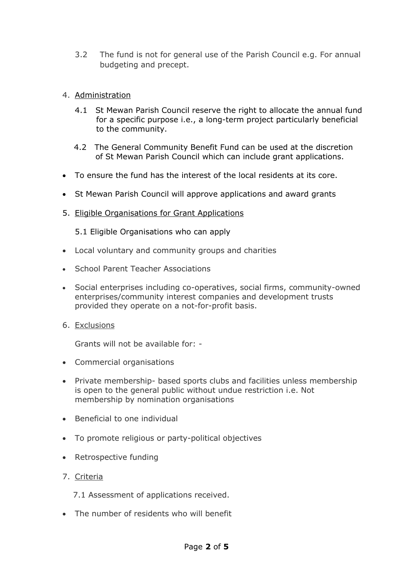- 3.2 The fund is not for general use of the Parish Council e.g. For annual budgeting and precept.
- 4. Administration
	- 4.1 St Mewan Parish Council reserve the right to allocate the annual fund for a specific purpose i.e., a long-term project particularly beneficial to the community.
	- 4.2 The General Community Benefit Fund can be used at the discretion of St Mewan Parish Council which can include grant applications.
- To ensure the fund has the interest of the local residents at its core.
- St Mewan Parish Council will approve applications and award grants
- 5. Eligible Organisations for Grant Applications

5.1 Eligible Organisations who can apply

- Local voluntary and community groups and charities
- School Parent Teacher Associations
- Social enterprises including co-operatives, social firms, community-owned enterprises/community interest companies and development trusts provided they operate on a not-for-profit basis.
- 6. Exclusions

Grants will not be available for: -

- Commercial organisations
- Private membership- based sports clubs and facilities unless membership is open to the general public without undue restriction i.e. Not membership by nomination organisations
- Beneficial to one individual
- To promote religious or party-political objectives
- Retrospective funding
- 7. Criteria

7.1 Assessment of applications received.

• The number of residents who will benefit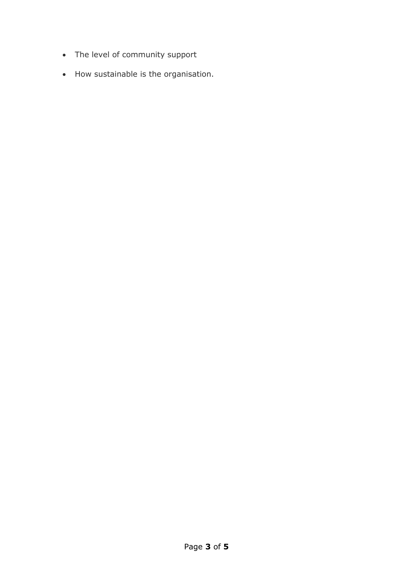- The level of community support
- How sustainable is the organisation.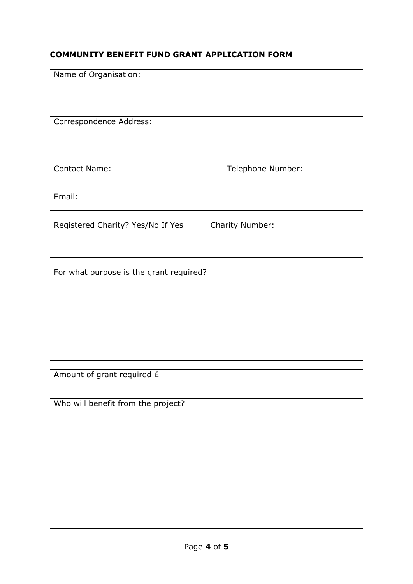## **COMMUNITY BENEFIT FUND GRANT APPLICATION FORM**

Name of Organisation:

Correspondence Address:

Contact Name: Telephone Number:

Email:

| Registered Charity? Yes/No If Yes | <b>Charity Number:</b> |
|-----------------------------------|------------------------|
|                                   |                        |
|                                   |                        |

| For what purpose is the grant required? |  |
|-----------------------------------------|--|
|                                         |  |
|                                         |  |
|                                         |  |
|                                         |  |
|                                         |  |
|                                         |  |
|                                         |  |

Amount of grant required £

Who will benefit from the project?